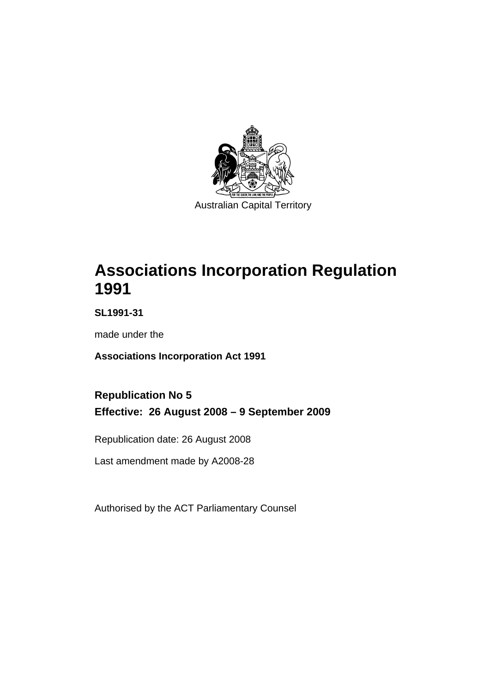

# **[Associations Incorporation Regulation](#page-6-0)  [1991](#page-6-0)**

**SL1991-31** 

made under the

**[Associations Incorporation Act 1991](#page-6-0)** 

# **Republication No 5 Effective: 26 August 2008 – 9 September 2009**

Republication date: 26 August 2008

Last amendment made by A2008-28

Authorised by the ACT Parliamentary Counsel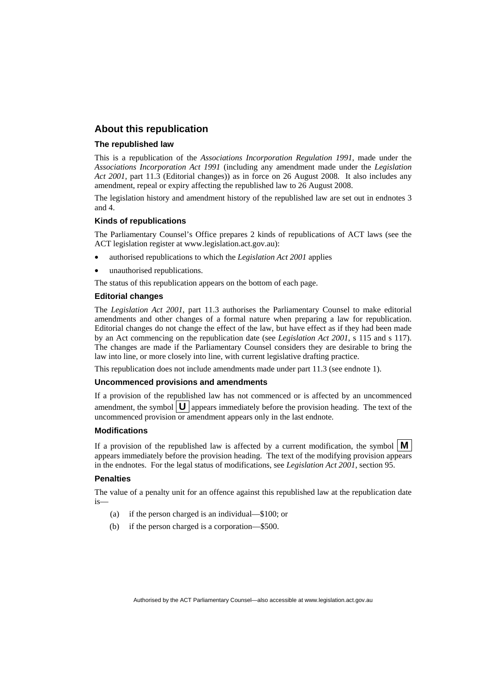#### **About this republication**

#### **The republished law**

This is a republication of the *Associations Incorporation Regulation 1991*, made under the *[Associations Incorporation Act 1991](#page-6-0)* (including any amendment made under the *Legislation Act 2001*, part 11.3 (Editorial changes)) as in force on 26 August 2008*.* It also includes any amendment, repeal or expiry affecting the republished law to 26 August 2008.

The legislation history and amendment history of the republished law are set out in endnotes 3 and 4.

#### **Kinds of republications**

The Parliamentary Counsel's Office prepares 2 kinds of republications of ACT laws (see the ACT legislation register at www.legislation.act.gov.au):

- authorised republications to which the *Legislation Act 2001* applies
- unauthorised republications.

The status of this republication appears on the bottom of each page.

#### **Editorial changes**

The *Legislation Act 2001*, part 11.3 authorises the Parliamentary Counsel to make editorial amendments and other changes of a formal nature when preparing a law for republication. Editorial changes do not change the effect of the law, but have effect as if they had been made by an Act commencing on the republication date (see *Legislation Act 2001*, s 115 and s 117). The changes are made if the Parliamentary Counsel considers they are desirable to bring the law into line, or more closely into line, with current legislative drafting practice.

This republication does not include amendments made under part 11.3 (see endnote 1).

#### **Uncommenced provisions and amendments**

If a provision of the republished law has not commenced or is affected by an uncommenced amendment, the symbol  $\mathbf{U}$  appears immediately before the provision heading. The text of the uncommenced provision or amendment appears only in the last endnote.

#### **Modifications**

If a provision of the republished law is affected by a current modification, the symbol  $\mathbf{M}$ appears immediately before the provision heading. The text of the modifying provision appears in the endnotes. For the legal status of modifications, see *Legislation Act 2001*, section 95.

#### **Penalties**

The value of a penalty unit for an offence against this republished law at the republication date is—

- (a) if the person charged is an individual—\$100; or
- (b) if the person charged is a corporation—\$500.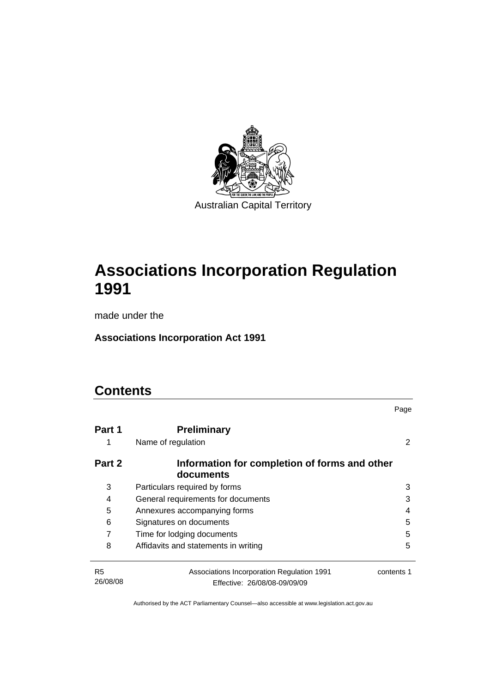

# **[Associations Incorporation Regulation](#page-6-0)  [1991](#page-6-0)**

made under the

**[Associations Incorporation Act 1991](#page-6-0)** 

# **Contents**

|                            |                                                                            | Page       |
|----------------------------|----------------------------------------------------------------------------|------------|
| Part 1                     | <b>Preliminary</b><br>Name of regulation                                   |            |
| Part 2                     | Information for completion of forms and other<br>documents                 |            |
| 3                          | Particulars required by forms                                              | 3          |
| 4                          | General requirements for documents                                         | 3          |
| 5                          | Annexures accompanying forms                                               | 4          |
| 6                          | Signatures on documents                                                    | 5          |
| 7                          | Time for lodging documents                                                 | 5          |
| 8                          | Affidavits and statements in writing                                       | 5          |
| R <sub>5</sub><br>26/08/08 | Associations Incorporation Regulation 1991<br>Effective: 26/08/08-09/09/09 | contents 1 |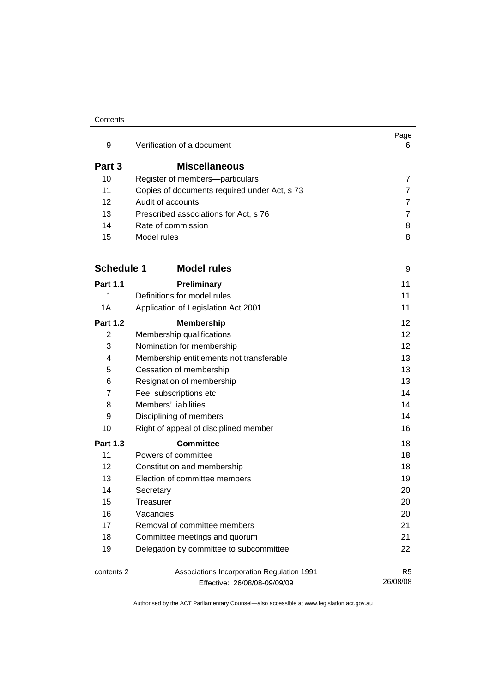#### Contents

| 9                 | Verification of a document                                                 | Page<br>6                  |
|-------------------|----------------------------------------------------------------------------|----------------------------|
|                   |                                                                            |                            |
| Part 3            | <b>Miscellaneous</b>                                                       |                            |
| 10                | Register of members-particulars                                            | 7                          |
| 11                | Copies of documents required under Act, s 73                               | 7                          |
| 12                | Audit of accounts                                                          | $\overline{7}$             |
| 13                | Prescribed associations for Act, s 76                                      | 7                          |
| 14                | Rate of commission                                                         | 8                          |
| 15                | Model rules                                                                | 8                          |
| <b>Schedule 1</b> | <b>Model rules</b>                                                         | 9                          |
| <b>Part 1.1</b>   | <b>Preliminary</b>                                                         | 11                         |
| 1                 | Definitions for model rules                                                | 11                         |
| 1A                | Application of Legislation Act 2001                                        | 11                         |
| <b>Part 1.2</b>   | <b>Membership</b>                                                          | 12                         |
| 2                 | Membership qualifications                                                  | 12                         |
| 3                 | Nomination for membership                                                  | 12 <sup>2</sup>            |
| 4                 | Membership entitlements not transferable                                   | 13                         |
| 5                 | Cessation of membership                                                    | 13                         |
| 6                 | Resignation of membership                                                  | 13                         |
| 7                 | Fee, subscriptions etc                                                     | 14                         |
| 8                 | Members' liabilities                                                       | 14                         |
| 9                 | Disciplining of members                                                    | 14                         |
| 10                | Right of appeal of disciplined member                                      | 16                         |
| <b>Part 1.3</b>   | <b>Committee</b>                                                           | 18                         |
| 11                | Powers of committee                                                        | 18                         |
| 12                | Constitution and membership                                                | 18                         |
| 13                | Election of committee members                                              | 19                         |
| 14                | Secretary                                                                  | 20                         |
| 15                | Treasurer                                                                  | 20                         |
| 16                | Vacancies                                                                  | 20                         |
| 17                | Removal of committee members                                               | 21                         |
| 18                | Committee meetings and quorum                                              | 21                         |
| 19                | Delegation by committee to subcommittee                                    | 22                         |
| contents 2        | Associations Incorporation Regulation 1991<br>Effective: 26/08/08-09/09/09 | R <sub>5</sub><br>26/08/08 |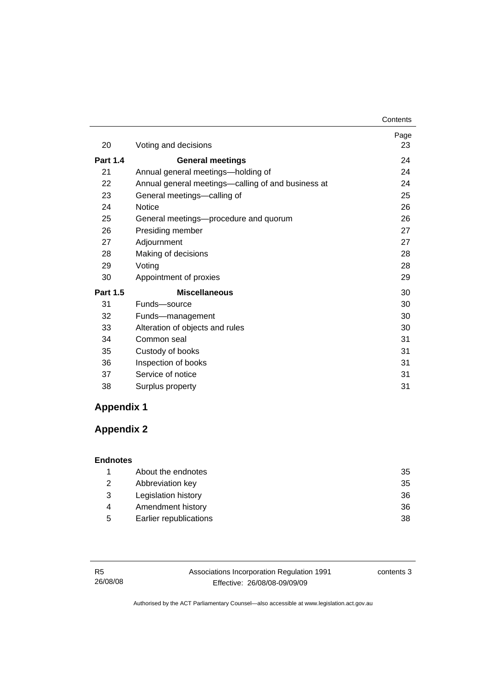|                 |                                                    | Contents   |
|-----------------|----------------------------------------------------|------------|
| 20              | Voting and decisions                               | Page<br>23 |
| <b>Part 1.4</b> | <b>General meetings</b>                            | 24         |
| 21              | Annual general meetings-holding of                 | 24         |
| 22              | Annual general meetings—calling of and business at | 24         |
| 23              | General meetings-calling of                        | 25         |
| 24              | <b>Notice</b>                                      | 26         |
| 25              | General meetings-procedure and quorum              | 26         |
| 26              | Presiding member                                   | 27         |
| 27              | Adjournment                                        | 27         |
| 28              | Making of decisions                                | 28         |
| 29              | Voting                                             | 28         |
| 30              | Appointment of proxies                             | 29         |
| <b>Part 1.5</b> | <b>Miscellaneous</b>                               | 30         |
| 31              | Funds-source                                       | 30         |
| 32              | Funds-management                                   | 30         |
| 33              | Alteration of objects and rules                    | 30         |
| 34              | Common seal                                        | 31         |
| 35              | Custody of books                                   | 31         |
| 36              | Inspection of books                                | 31         |
| 37              | Service of notice                                  | 31         |
| 38              | Surplus property                                   | 31         |

# **Appendix 1**

# **Appendix 2**

#### **Endnotes**

|   | About the endnotes     | 35 |
|---|------------------------|----|
| 2 | Abbreviation key       | 35 |
| 3 | Legislation history    | 36 |
| 4 | Amendment history      | 36 |
| 5 | Earlier republications | 38 |

| - R5     | Associations Incorporation Regulation 1991 | contents 3 |
|----------|--------------------------------------------|------------|
| 26/08/08 | Effective: 26/08/08-09/09/09               |            |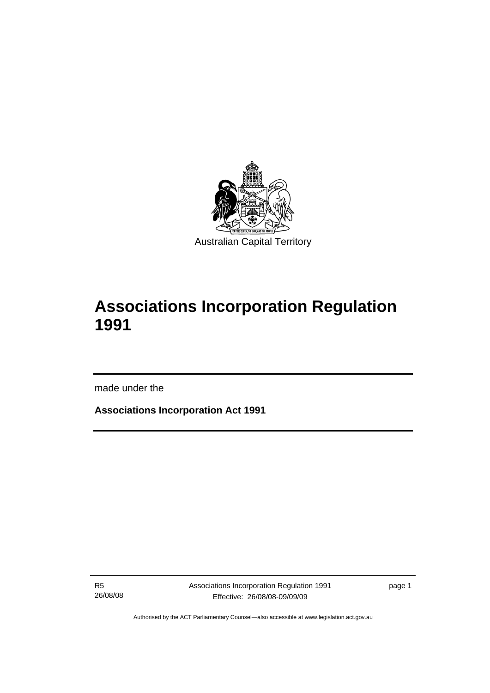<span id="page-6-0"></span>

# **Associations Incorporation Regulation 1991**

made under the

l

**Associations Incorporation Act 1991** 

R5 26/08/08 Associations Incorporation Regulation 1991 Effective: 26/08/08-09/09/09

page 1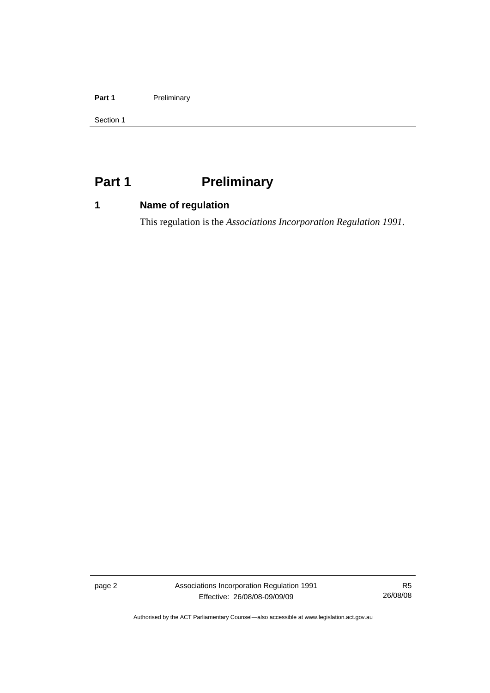#### <span id="page-7-0"></span>Part 1 **Preliminary**

Section 1

# Part 1 **Preliminary**

## **1 Name of regulation**

This regulation is the *Associations Incorporation Regulation 1991*.

page 2 Associations Incorporation Regulation 1991 Effective: 26/08/08-09/09/09

R5 26/08/08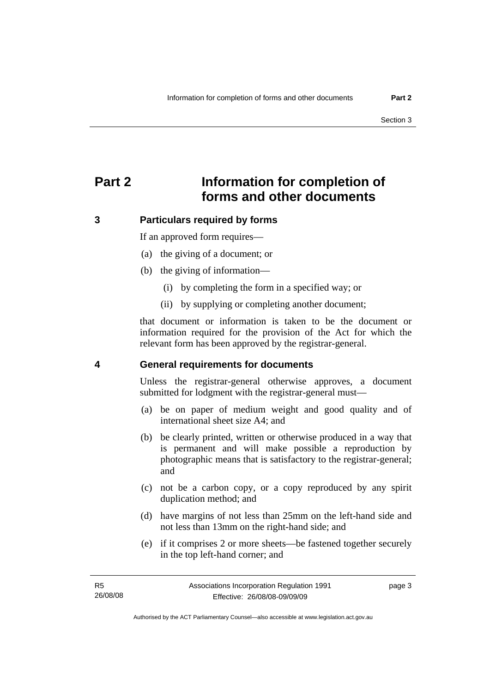# <span id="page-8-0"></span>**Part 2 Information for completion of forms and other documents**

#### **3 Particulars required by forms**

If an approved form requires—

- (a) the giving of a document; or
- (b) the giving of information—
	- (i) by completing the form in a specified way; or
	- (ii) by supplying or completing another document;

that document or information is taken to be the document or information required for the provision of the Act for which the relevant form has been approved by the registrar-general.

#### **4 General requirements for documents**

Unless the registrar-general otherwise approves, a document submitted for lodgment with the registrar-general must—

- (a) be on paper of medium weight and good quality and of international sheet size A4; and
- (b) be clearly printed, written or otherwise produced in a way that is permanent and will make possible a reproduction by photographic means that is satisfactory to the registrar-general; and
- (c) not be a carbon copy, or a copy reproduced by any spirit duplication method; and
- (d) have margins of not less than 25mm on the left-hand side and not less than 13mm on the right-hand side; and
- (e) if it comprises 2 or more sheets—be fastened together securely in the top left-hand corner; and

page 3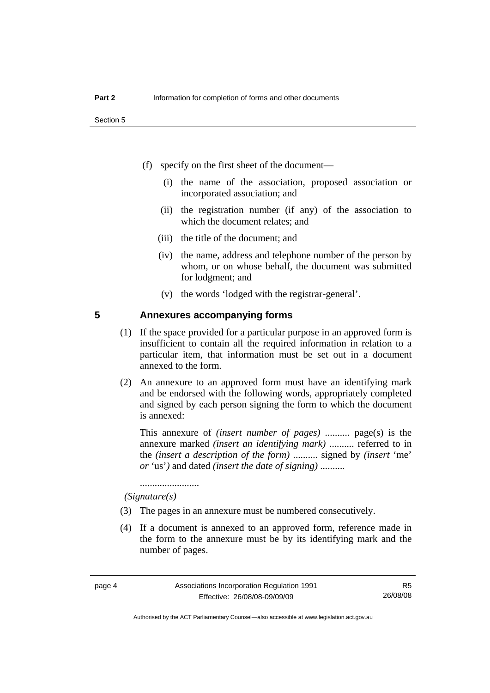- <span id="page-9-0"></span> (f) specify on the first sheet of the document—
	- (i) the name of the association, proposed association or incorporated association; and
	- (ii) the registration number (if any) of the association to which the document relates; and
	- (iii) the title of the document; and
	- (iv) the name, address and telephone number of the person by whom, or on whose behalf, the document was submitted for lodgment; and
	- (v) the words 'lodged with the registrar-general'.

#### **5 Annexures accompanying forms**

- (1) If the space provided for a particular purpose in an approved form is insufficient to contain all the required information in relation to a particular item, that information must be set out in a document annexed to the form.
- (2) An annexure to an approved form must have an identifying mark and be endorsed with the following words, appropriately completed and signed by each person signing the form to which the document is annexed:

This annexure of *(insert number of pages)* .......... page(s) is the annexure marked *(insert an identifying mark)* .......... referred to in the *(insert a description of the form)* .......... signed by *(insert* 'me' *or* 'us'*)* and dated *(insert the date of signing)* ..........

........................  *(Signature(s)*

- (3) The pages in an annexure must be numbered consecutively.
- (4) If a document is annexed to an approved form, reference made in the form to the annexure must be by its identifying mark and the number of pages.

Authorised by the ACT Parliamentary Counsel—also accessible at www.legislation.act.gov.au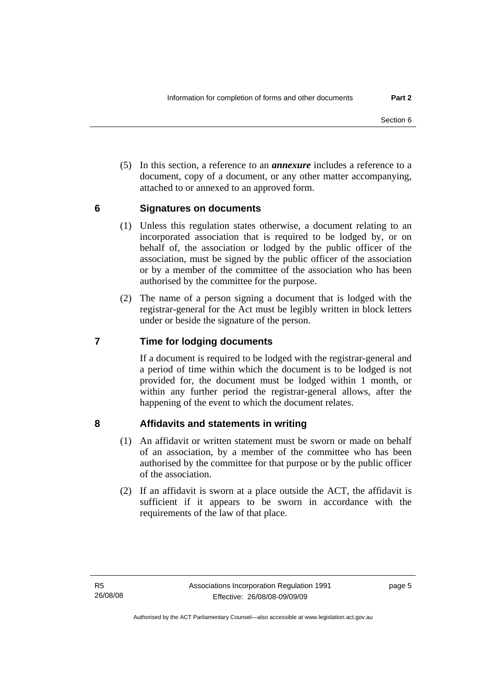<span id="page-10-0"></span> (5) In this section, a reference to an *annexure* includes a reference to a document, copy of a document, or any other matter accompanying, attached to or annexed to an approved form.

#### **6 Signatures on documents**

- (1) Unless this regulation states otherwise, a document relating to an incorporated association that is required to be lodged by, or on behalf of, the association or lodged by the public officer of the association, must be signed by the public officer of the association or by a member of the committee of the association who has been authorised by the committee for the purpose.
- (2) The name of a person signing a document that is lodged with the registrar-general for the Act must be legibly written in block letters under or beside the signature of the person.

### **7 Time for lodging documents**

If a document is required to be lodged with the registrar-general and a period of time within which the document is to be lodged is not provided for, the document must be lodged within 1 month, or within any further period the registrar-general allows, after the happening of the event to which the document relates.

### **8 Affidavits and statements in writing**

- (1) An affidavit or written statement must be sworn or made on behalf of an association, by a member of the committee who has been authorised by the committee for that purpose or by the public officer of the association.
- (2) If an affidavit is sworn at a place outside the ACT, the affidavit is sufficient if it appears to be sworn in accordance with the requirements of the law of that place.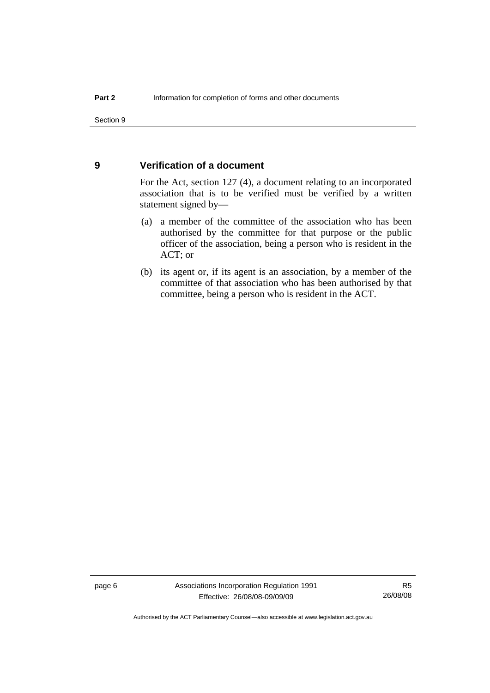#### <span id="page-11-0"></span>**9 Verification of a document**

For the Act, section 127 (4), a document relating to an incorporated association that is to be verified must be verified by a written statement signed by—

- (a) a member of the committee of the association who has been authorised by the committee for that purpose or the public officer of the association, being a person who is resident in the ACT; or
- (b) its agent or, if its agent is an association, by a member of the committee of that association who has been authorised by that committee, being a person who is resident in the ACT.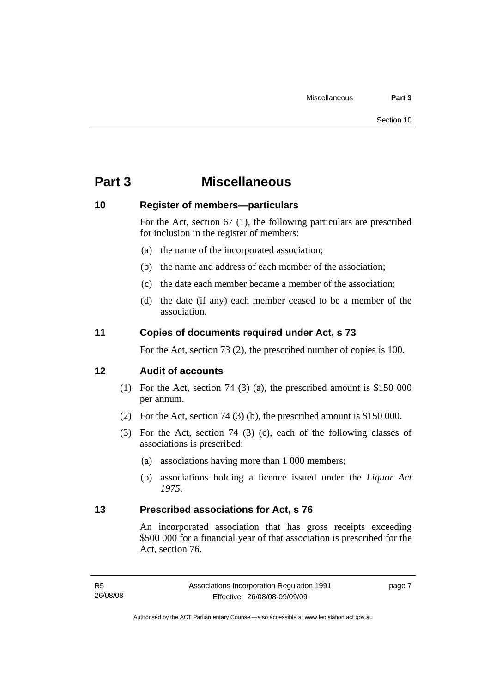# <span id="page-12-0"></span>**Part 3 Miscellaneous**

#### **10 Register of members—particulars**

For the Act, section 67 (1), the following particulars are prescribed for inclusion in the register of members:

- (a) the name of the incorporated association;
- (b) the name and address of each member of the association;
- (c) the date each member became a member of the association;
- (d) the date (if any) each member ceased to be a member of the association.

#### **11 Copies of documents required under Act, s 73**

For the Act, section 73 (2), the prescribed number of copies is 100.

### **12 Audit of accounts**

- (1) For the Act, section 74 (3) (a), the prescribed amount is \$150 000 per annum.
- (2) For the Act, section 74 (3) (b), the prescribed amount is \$150 000.
- (3) For the Act, section 74 (3) (c), each of the following classes of associations is prescribed:
	- (a) associations having more than 1 000 members;
	- (b) associations holding a licence issued under the *Liquor Act 1975*.

#### **13 Prescribed associations for Act, s 76**

An incorporated association that has gross receipts exceeding \$500 000 for a financial year of that association is prescribed for the Act, section 76.

page 7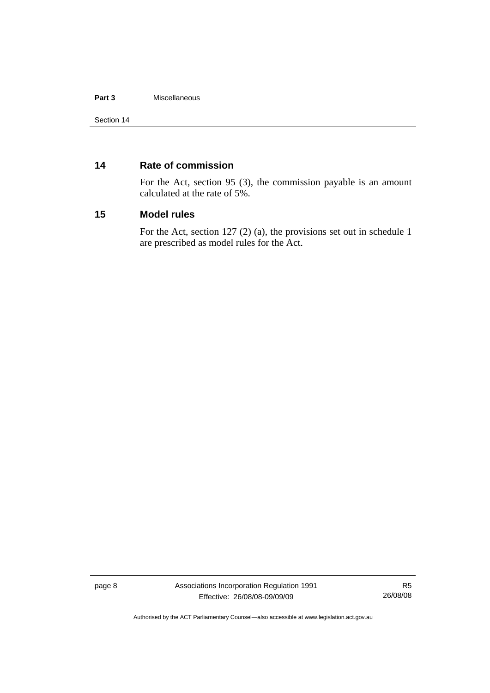#### <span id="page-13-0"></span>**Part 3** Miscellaneous

#### **14 Rate of commission**

For the Act, section 95 (3), the commission payable is an amount calculated at the rate of 5%.

#### **15 Model rules**

For the Act, section 127 (2) (a), the provisions set out in schedule 1 are prescribed as model rules for the Act.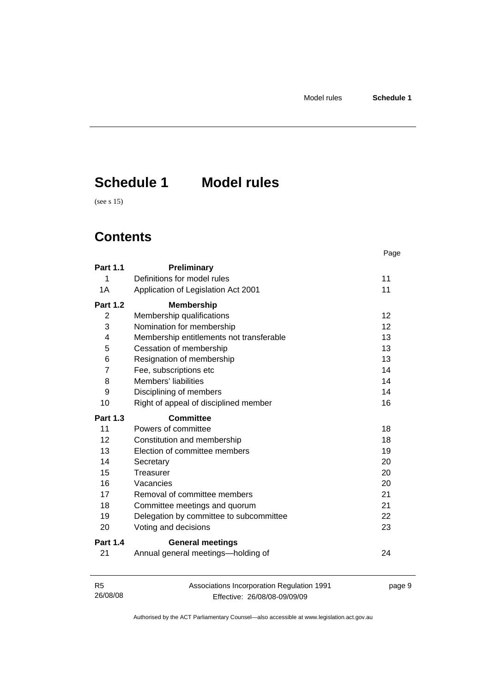# <span id="page-14-0"></span>**Schedule 1 Model rules**

(see s 15)

# **Contents**

|                 |                                          | Page |
|-----------------|------------------------------------------|------|
| <b>Part 1.1</b> | Preliminary                              |      |
| 1               | Definitions for model rules              | 11   |
| 1A              | Application of Legislation Act 2001      | 11   |
| <b>Part 1.2</b> | <b>Membership</b>                        |      |
| 2               | Membership qualifications                | 12   |
| 3               | Nomination for membership                | 12   |
| 4               | Membership entitlements not transferable | 13   |
| 5               | Cessation of membership                  | 13   |
| 6               | Resignation of membership                | 13   |
| $\overline{7}$  | Fee, subscriptions etc                   | 14   |
| 8               | Members' liabilities                     | 14   |
| 9               | Disciplining of members                  | 14   |
| 10              | Right of appeal of disciplined member    | 16   |
| <b>Part 1.3</b> | <b>Committee</b>                         |      |
|                 | Powers of committee                      |      |
| 11              |                                          | 18   |
| 12              | Constitution and membership              | 18   |
| 13              | Election of committee members            | 19   |
| 14              | Secretary                                | 20   |
| 15              | Treasurer                                | 20   |
| 16              | Vacancies                                | 20   |
| 17              | Removal of committee members             | 21   |
| 18              | Committee meetings and quorum            | 21   |
| 19              | Delegation by committee to subcommittee  | 22   |
| 20              | Voting and decisions                     | 23   |
| <b>Part 1.4</b> | <b>General meetings</b>                  |      |

| - R5     | Associations Incorporation Regulation 1991 | page 9 |
|----------|--------------------------------------------|--------|
| 26/08/08 | Effective: 26/08/08-09/09/09               |        |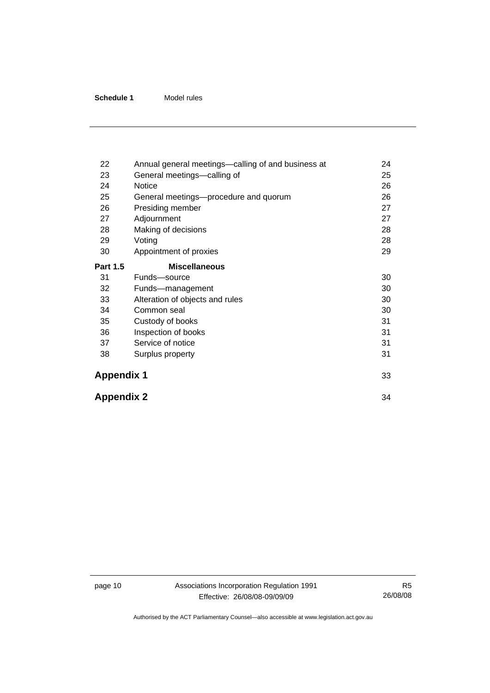| 22                | Annual general meetings—calling of and business at | 24 |
|-------------------|----------------------------------------------------|----|
| 23                | General meetings-calling of                        | 25 |
| 24                | Notice                                             | 26 |
| 25                | General meetings—procedure and quorum              | 26 |
| 26                | Presiding member                                   | 27 |
| 27                | Adjournment                                        | 27 |
| 28                | Making of decisions                                | 28 |
| 29                | Voting                                             | 28 |
| 30                | Appointment of proxies                             | 29 |
| <b>Part 1.5</b>   | <b>Miscellaneous</b>                               |    |
| 31                | Funds-source                                       | 30 |
| 32                | Funds-management                                   | 30 |
| 33                | Alteration of objects and rules                    | 30 |
| 34                | Common seal                                        | 30 |
| 35                | Custody of books                                   | 31 |
| 36                | Inspection of books                                | 31 |
| 37                | Service of notice                                  | 31 |
| 38                | Surplus property                                   | 31 |
| <b>Appendix 1</b> |                                                    | 33 |
| <b>Appendix 2</b> |                                                    | 34 |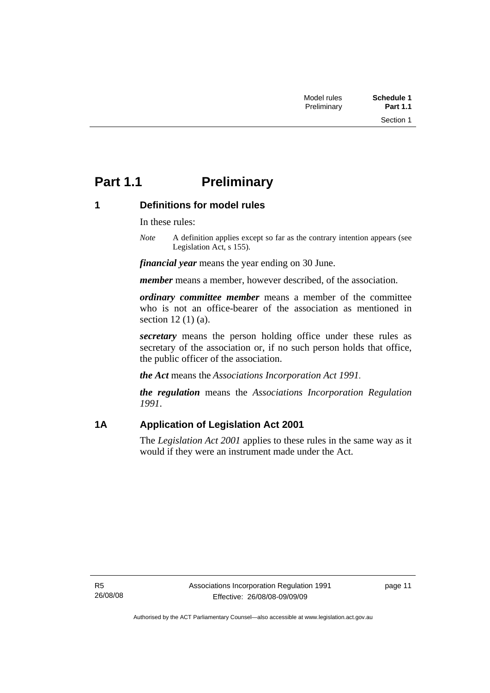# <span id="page-16-0"></span>**Part 1.1** Preliminary

### **1 Definitions for model rules**

In these rules:

*Note* A definition applies except so far as the contrary intention appears (see Legislation Act, s 155).

*financial year* means the year ending on 30 June.

*member* means a member, however described, of the association.

*ordinary committee member* means a member of the committee who is not an office-bearer of the association as mentioned in section 12 (1) (a).

*secretary* means the person holding office under these rules as secretary of the association or, if no such person holds that office, the public officer of the association.

*the Act* means the *Associations Incorporation Act 1991*.

*the regulation* means the *Associations Incorporation Regulation 1991*.

### **1A Application of Legislation Act 2001**

The *Legislation Act 2001* applies to these rules in the same way as it would if they were an instrument made under the Act.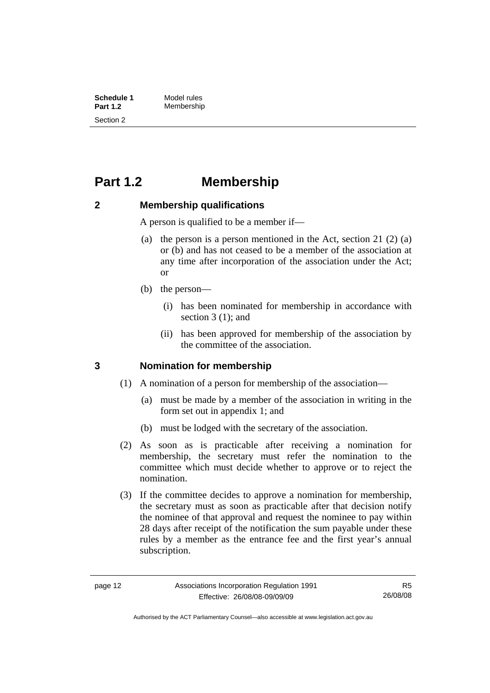<span id="page-17-0"></span>**Schedule 1** Model rules<br> **Part 1.2** Membershir **Part 1.2** Membership Section 2

# **Part 1.2 Membership**

### **2 Membership qualifications**

A person is qualified to be a member if—

- (a) the person is a person mentioned in the Act, section 21 (2) (a) or (b) and has not ceased to be a member of the association at any time after incorporation of the association under the Act; or
- (b) the person—
	- (i) has been nominated for membership in accordance with section 3 (1): and
	- (ii) has been approved for membership of the association by the committee of the association.

### **3 Nomination for membership**

- (1) A nomination of a person for membership of the association—
	- (a) must be made by a member of the association in writing in the form set out in appendix 1; and
	- (b) must be lodged with the secretary of the association.
- (2) As soon as is practicable after receiving a nomination for membership, the secretary must refer the nomination to the committee which must decide whether to approve or to reject the nomination.
- (3) If the committee decides to approve a nomination for membership, the secretary must as soon as practicable after that decision notify the nominee of that approval and request the nominee to pay within 28 days after receipt of the notification the sum payable under these rules by a member as the entrance fee and the first year's annual subscription.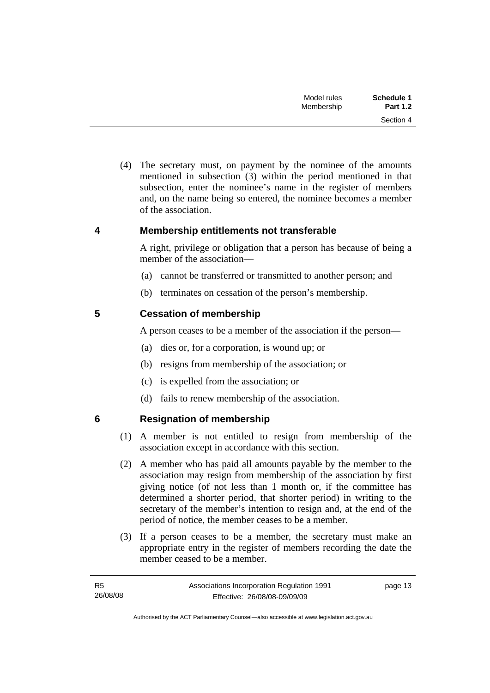| Schedule 1      | Model rules |  |
|-----------------|-------------|--|
| <b>Part 1.2</b> | Membership  |  |
| Section 4       |             |  |

<span id="page-18-0"></span> (4) The secretary must, on payment by the nominee of the amounts mentioned in subsection (3) within the period mentioned in that subsection, enter the nominee's name in the register of members and, on the name being so entered, the nominee becomes a member of the association.

#### **4 Membership entitlements not transferable**

A right, privilege or obligation that a person has because of being a member of the association—

- (a) cannot be transferred or transmitted to another person; and
- (b) terminates on cessation of the person's membership.

#### **5 Cessation of membership**

A person ceases to be a member of the association if the person—

- (a) dies or, for a corporation, is wound up; or
- (b) resigns from membership of the association; or
- (c) is expelled from the association; or
- (d) fails to renew membership of the association.

R5

### **6 Resignation of membership**

- (1) A member is not entitled to resign from membership of the association except in accordance with this section.
- (2) A member who has paid all amounts payable by the member to the association may resign from membership of the association by first giving notice (of not less than 1 month or, if the committee has determined a shorter period, that shorter period) in writing to the secretary of the member's intention to resign and, at the end of the period of notice, the member ceases to be a member.
- (3) If a person ceases to be a member, the secretary must make an appropriate entry in the register of members recording the date the member ceased to be a member.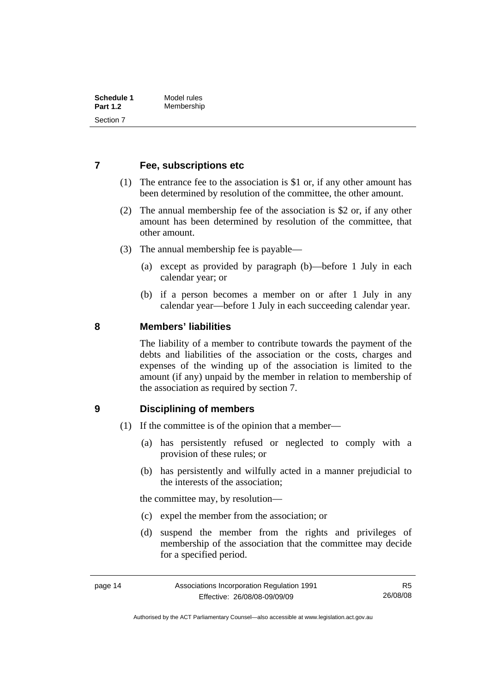#### <span id="page-19-0"></span>**7 Fee, subscriptions etc**

- (1) The entrance fee to the association is \$1 or, if any other amount has been determined by resolution of the committee, the other amount.
- (2) The annual membership fee of the association is \$2 or, if any other amount has been determined by resolution of the committee, that other amount.
- (3) The annual membership fee is payable—
	- (a) except as provided by paragraph (b)—before 1 July in each calendar year; or
	- (b) if a person becomes a member on or after 1 July in any calendar year—before 1 July in each succeeding calendar year.

#### **8 Members' liabilities**

The liability of a member to contribute towards the payment of the debts and liabilities of the association or the costs, charges and expenses of the winding up of the association is limited to the amount (if any) unpaid by the member in relation to membership of the association as required by section 7.

#### **9 Disciplining of members**

- (1) If the committee is of the opinion that a member—
	- (a) has persistently refused or neglected to comply with a provision of these rules; or
	- (b) has persistently and wilfully acted in a manner prejudicial to the interests of the association;

the committee may, by resolution—

- (c) expel the member from the association; or
- (d) suspend the member from the rights and privileges of membership of the association that the committee may decide for a specified period.

Authorised by the ACT Parliamentary Counsel—also accessible at www.legislation.act.gov.au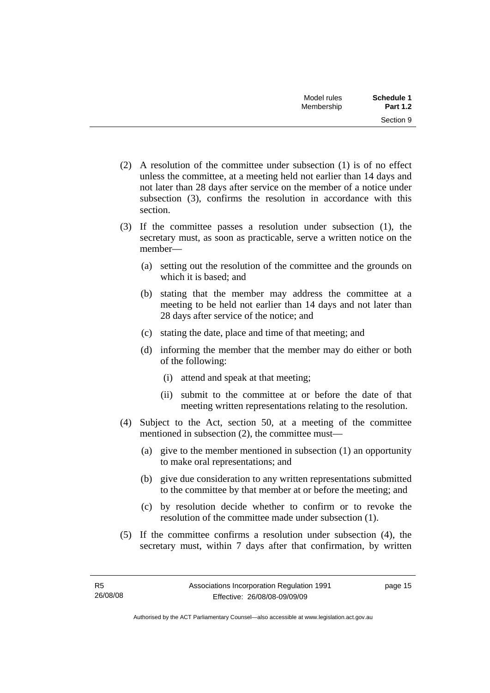- (2) A resolution of the committee under subsection (1) is of no effect unless the committee, at a meeting held not earlier than 14 days and not later than 28 days after service on the member of a notice under subsection (3), confirms the resolution in accordance with this section.
- (3) If the committee passes a resolution under subsection (1), the secretary must, as soon as practicable, serve a written notice on the member—
	- (a) setting out the resolution of the committee and the grounds on which it is based; and
	- (b) stating that the member may address the committee at a meeting to be held not earlier than 14 days and not later than 28 days after service of the notice; and
	- (c) stating the date, place and time of that meeting; and
	- (d) informing the member that the member may do either or both of the following:
		- (i) attend and speak at that meeting;
		- (ii) submit to the committee at or before the date of that meeting written representations relating to the resolution.
- (4) Subject to the Act, section 50, at a meeting of the committee mentioned in subsection (2), the committee must—
	- (a) give to the member mentioned in subsection (1) an opportunity to make oral representations; and
	- (b) give due consideration to any written representations submitted to the committee by that member at or before the meeting; and
	- (c) by resolution decide whether to confirm or to revoke the resolution of the committee made under subsection (1).
- (5) If the committee confirms a resolution under subsection (4), the secretary must, within 7 days after that confirmation, by written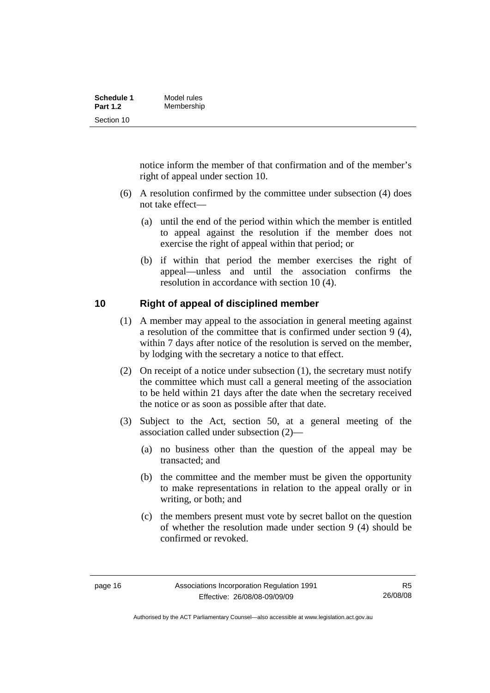<span id="page-21-0"></span>

| Schedule 1      | Model rules |
|-----------------|-------------|
| <b>Part 1.2</b> | Membership  |
| Section 10      |             |

notice inform the member of that confirmation and of the member's right of appeal under section 10.

- (6) A resolution confirmed by the committee under subsection (4) does not take effect—
	- (a) until the end of the period within which the member is entitled to appeal against the resolution if the member does not exercise the right of appeal within that period; or
	- (b) if within that period the member exercises the right of appeal—unless and until the association confirms the resolution in accordance with section 10 (4).

### **10 Right of appeal of disciplined member**

- (1) A member may appeal to the association in general meeting against a resolution of the committee that is confirmed under section 9 (4), within 7 days after notice of the resolution is served on the member, by lodging with the secretary a notice to that effect.
- (2) On receipt of a notice under subsection (1), the secretary must notify the committee which must call a general meeting of the association to be held within 21 days after the date when the secretary received the notice or as soon as possible after that date.
- (3) Subject to the Act, section 50, at a general meeting of the association called under subsection (2)—
	- (a) no business other than the question of the appeal may be transacted; and
	- (b) the committee and the member must be given the opportunity to make representations in relation to the appeal orally or in writing, or both; and
	- (c) the members present must vote by secret ballot on the question of whether the resolution made under section 9 (4) should be confirmed or revoked.

Authorised by the ACT Parliamentary Counsel—also accessible at www.legislation.act.gov.au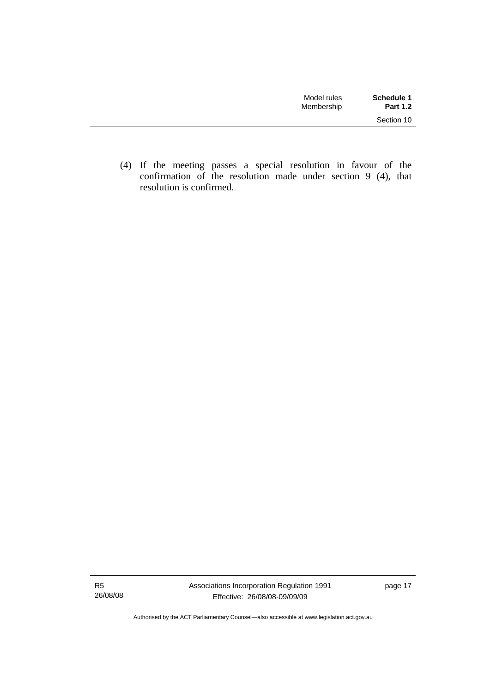| Model rules<br>Membership | Schedule 1<br><b>Part 1.2</b> |
|---------------------------|-------------------------------|
|                           | Section 10                    |

 (4) If the meeting passes a special resolution in favour of the confirmation of the resolution made under section 9 (4), that resolution is confirmed.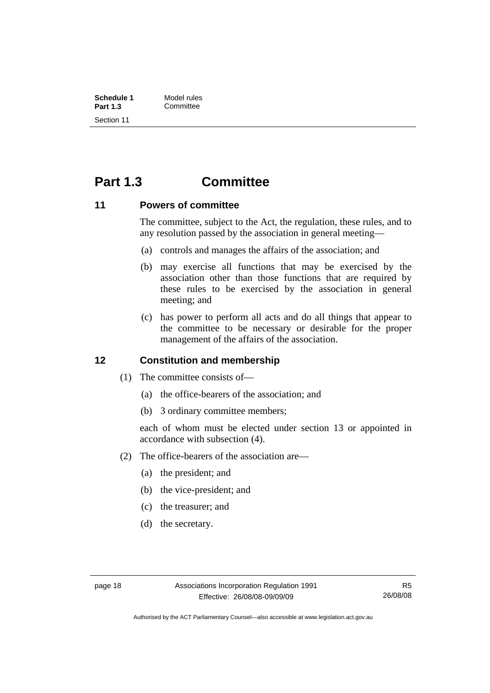<span id="page-23-0"></span>

| Schedule 1      | Model rules |
|-----------------|-------------|
| <b>Part 1.3</b> | Committee   |
| Section 11      |             |

# **Part 1.3 Committee**

#### **11 Powers of committee**

The committee, subject to the Act, the regulation, these rules, and to any resolution passed by the association in general meeting—

- (a) controls and manages the affairs of the association; and
- (b) may exercise all functions that may be exercised by the association other than those functions that are required by these rules to be exercised by the association in general meeting; and
- (c) has power to perform all acts and do all things that appear to the committee to be necessary or desirable for the proper management of the affairs of the association.

#### **12 Constitution and membership**

- (1) The committee consists of—
	- (a) the office-bearers of the association; and
	- (b) 3 ordinary committee members;

each of whom must be elected under section 13 or appointed in accordance with subsection (4).

- (2) The office-bearers of the association are—
	- (a) the president; and
	- (b) the vice-president; and
	- (c) the treasurer; and
	- (d) the secretary.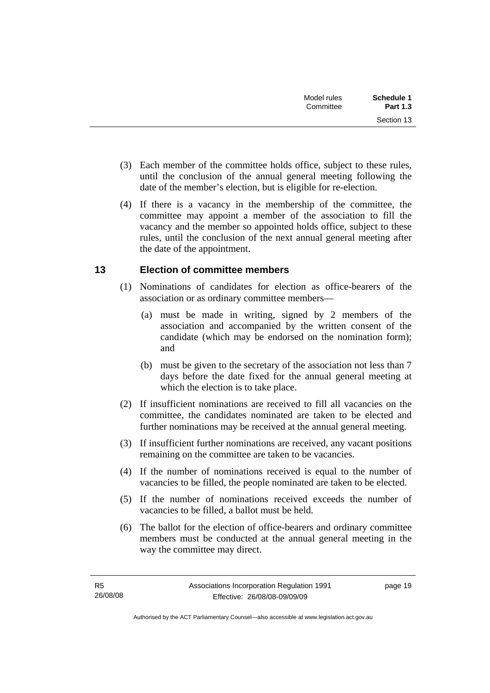<span id="page-24-0"></span>

| Model rules<br>Committee | Schedule 1<br><b>Part 1.3</b> |
|--------------------------|-------------------------------|
|                          | Section 13                    |

- (3) Each member of the committee holds office, subject to these rules, until the conclusion of the annual general meeting following the date of the member's election, but is eligible for re-election.
- (4) If there is a vacancy in the membership of the committee, the committee may appoint a member of the association to fill the vacancy and the member so appointed holds office, subject to these rules, until the conclusion of the next annual general meeting after the date of the appointment.

### **13 Election of committee members**

- (1) Nominations of candidates for election as office-bearers of the association or as ordinary committee members—
	- (a) must be made in writing, signed by 2 members of the association and accompanied by the written consent of the candidate (which may be endorsed on the nomination form); and
	- (b) must be given to the secretary of the association not less than 7 days before the date fixed for the annual general meeting at which the election is to take place.
- (2) If insufficient nominations are received to fill all vacancies on the committee, the candidates nominated are taken to be elected and further nominations may be received at the annual general meeting.
- (3) If insufficient further nominations are received, any vacant positions remaining on the committee are taken to be vacancies.
- (4) If the number of nominations received is equal to the number of vacancies to be filled, the people nominated are taken to be elected.
- (5) If the number of nominations received exceeds the number of vacancies to be filled, a ballot must be held.
- (6) The ballot for the election of office-bearers and ordinary committee members must be conducted at the annual general meeting in the way the committee may direct.

page 19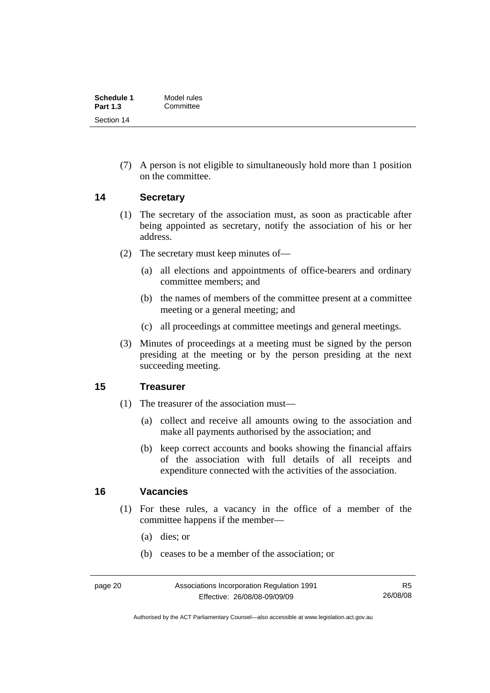<span id="page-25-0"></span>

| Schedule 1      | Model rules |
|-----------------|-------------|
| <b>Part 1.3</b> | Committee   |
| Section 14      |             |

 (7) A person is not eligible to simultaneously hold more than 1 position on the committee.

#### **14 Secretary**

- (1) The secretary of the association must, as soon as practicable after being appointed as secretary, notify the association of his or her address.
- (2) The secretary must keep minutes of—
	- (a) all elections and appointments of office-bearers and ordinary committee members; and
	- (b) the names of members of the committee present at a committee meeting or a general meeting; and
	- (c) all proceedings at committee meetings and general meetings.
- (3) Minutes of proceedings at a meeting must be signed by the person presiding at the meeting or by the person presiding at the next succeeding meeting.

#### **15 Treasurer**

- (1) The treasurer of the association must—
	- (a) collect and receive all amounts owing to the association and make all payments authorised by the association; and
	- (b) keep correct accounts and books showing the financial affairs of the association with full details of all receipts and expenditure connected with the activities of the association.

#### **16 Vacancies**

- (1) For these rules, a vacancy in the office of a member of the committee happens if the member—
	- (a) dies; or
	- (b) ceases to be a member of the association; or

R5 26/08/08

Authorised by the ACT Parliamentary Counsel—also accessible at www.legislation.act.gov.au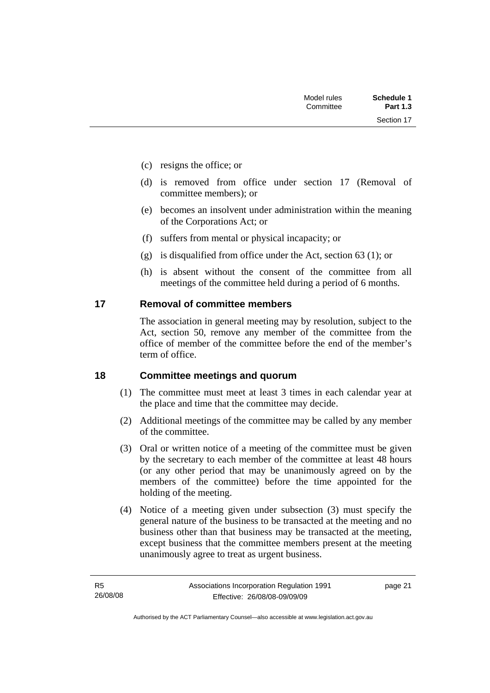Section 17

- <span id="page-26-0"></span>(c) resigns the office; or
- (d) is removed from office under section 17 (Removal of committee members); or
- (e) becomes an insolvent under administration within the meaning of the Corporations Act; or
- (f) suffers from mental or physical incapacity; or
- (g) is disqualified from office under the Act, section 63 (1); or
- (h) is absent without the consent of the committee from all meetings of the committee held during a period of 6 months.

#### **17 Removal of committee members**

The association in general meeting may by resolution, subject to the Act, section 50, remove any member of the committee from the office of member of the committee before the end of the member's term of office.

#### **18 Committee meetings and quorum**

- (1) The committee must meet at least 3 times in each calendar year at the place and time that the committee may decide.
- (2) Additional meetings of the committee may be called by any member of the committee.
- (3) Oral or written notice of a meeting of the committee must be given by the secretary to each member of the committee at least 48 hours (or any other period that may be unanimously agreed on by the members of the committee) before the time appointed for the holding of the meeting.
- (4) Notice of a meeting given under subsection (3) must specify the general nature of the business to be transacted at the meeting and no business other than that business may be transacted at the meeting, except business that the committee members present at the meeting unanimously agree to treat as urgent business.

page 21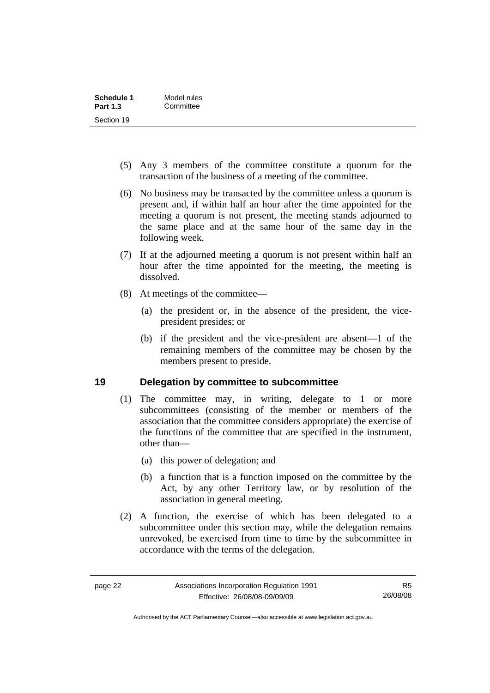<span id="page-27-0"></span>

| Schedule 1      | Model rules |
|-----------------|-------------|
| <b>Part 1.3</b> | Committee   |
| Section 19      |             |

- (5) Any 3 members of the committee constitute a quorum for the transaction of the business of a meeting of the committee.
- (6) No business may be transacted by the committee unless a quorum is present and, if within half an hour after the time appointed for the meeting a quorum is not present, the meeting stands adjourned to the same place and at the same hour of the same day in the following week.
- (7) If at the adjourned meeting a quorum is not present within half an hour after the time appointed for the meeting, the meeting is dissolved.
- (8) At meetings of the committee—
	- (a) the president or, in the absence of the president, the vicepresident presides; or
	- (b) if the president and the vice-president are absent—1 of the remaining members of the committee may be chosen by the members present to preside.

### **19 Delegation by committee to subcommittee**

- (1) The committee may, in writing, delegate to 1 or more subcommittees (consisting of the member or members of the association that the committee considers appropriate) the exercise of the functions of the committee that are specified in the instrument, other than—
	- (a) this power of delegation; and
	- (b) a function that is a function imposed on the committee by the Act, by any other Territory law, or by resolution of the association in general meeting.
- (2) A function, the exercise of which has been delegated to a subcommittee under this section may, while the delegation remains unrevoked, be exercised from time to time by the subcommittee in accordance with the terms of the delegation.

Authorised by the ACT Parliamentary Counsel—also accessible at www.legislation.act.gov.au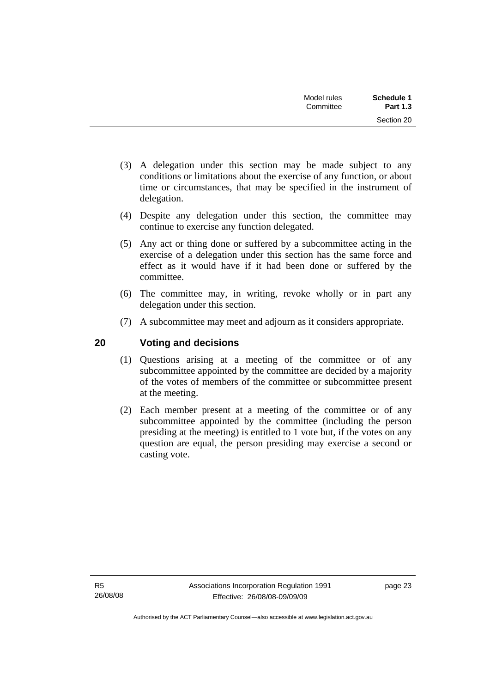| Schedule 1      | Model rules |
|-----------------|-------------|
| <b>Part 1.3</b> | Committee   |
| Section 20      |             |

- <span id="page-28-0"></span> (3) A delegation under this section may be made subject to any conditions or limitations about the exercise of any function, or about time or circumstances, that may be specified in the instrument of delegation.
- (4) Despite any delegation under this section, the committee may continue to exercise any function delegated.
- (5) Any act or thing done or suffered by a subcommittee acting in the exercise of a delegation under this section has the same force and effect as it would have if it had been done or suffered by the committee.
- (6) The committee may, in writing, revoke wholly or in part any delegation under this section.
- (7) A subcommittee may meet and adjourn as it considers appropriate.

### **20 Voting and decisions**

- (1) Questions arising at a meeting of the committee or of any subcommittee appointed by the committee are decided by a majority of the votes of members of the committee or subcommittee present at the meeting.
- (2) Each member present at a meeting of the committee or of any subcommittee appointed by the committee (including the person presiding at the meeting) is entitled to 1 vote but, if the votes on any question are equal, the person presiding may exercise a second or casting vote.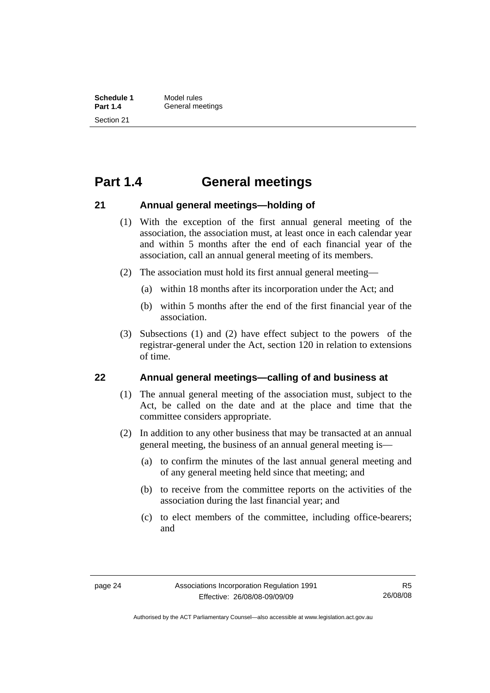# <span id="page-29-0"></span>**Part 1.4 General meetings**

#### **21 Annual general meetings—holding of**

- (1) With the exception of the first annual general meeting of the association, the association must, at least once in each calendar year and within 5 months after the end of each financial year of the association, call an annual general meeting of its members.
- (2) The association must hold its first annual general meeting—
	- (a) within 18 months after its incorporation under the Act; and
	- (b) within 5 months after the end of the first financial year of the association.
- (3) Subsections (1) and (2) have effect subject to the powers of the registrar-general under the Act, section 120 in relation to extensions of time.

#### **22 Annual general meetings—calling of and business at**

- (1) The annual general meeting of the association must, subject to the Act, be called on the date and at the place and time that the committee considers appropriate.
- (2) In addition to any other business that may be transacted at an annual general meeting, the business of an annual general meeting is—
	- (a) to confirm the minutes of the last annual general meeting and of any general meeting held since that meeting; and
	- (b) to receive from the committee reports on the activities of the association during the last financial year; and
	- (c) to elect members of the committee, including office-bearers; and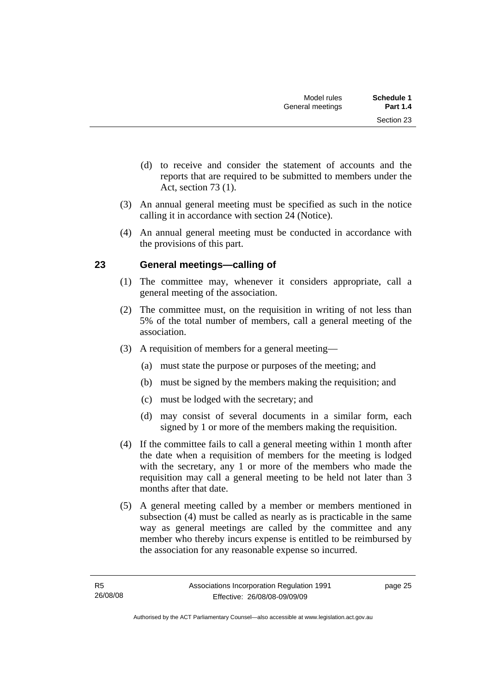- <span id="page-30-0"></span> (d) to receive and consider the statement of accounts and the reports that are required to be submitted to members under the Act, section 73 (1).
- (3) An annual general meeting must be specified as such in the notice calling it in accordance with section 24 (Notice).
- (4) An annual general meeting must be conducted in accordance with the provisions of this part.

### **23 General meetings—calling of**

- (1) The committee may, whenever it considers appropriate, call a general meeting of the association.
- (2) The committee must, on the requisition in writing of not less than 5% of the total number of members, call a general meeting of the association.
- (3) A requisition of members for a general meeting—
	- (a) must state the purpose or purposes of the meeting; and
	- (b) must be signed by the members making the requisition; and
	- (c) must be lodged with the secretary; and
	- (d) may consist of several documents in a similar form, each signed by 1 or more of the members making the requisition.
- (4) If the committee fails to call a general meeting within 1 month after the date when a requisition of members for the meeting is lodged with the secretary, any 1 or more of the members who made the requisition may call a general meeting to be held not later than 3 months after that date.
- (5) A general meeting called by a member or members mentioned in subsection (4) must be called as nearly as is practicable in the same way as general meetings are called by the committee and any member who thereby incurs expense is entitled to be reimbursed by the association for any reasonable expense so incurred.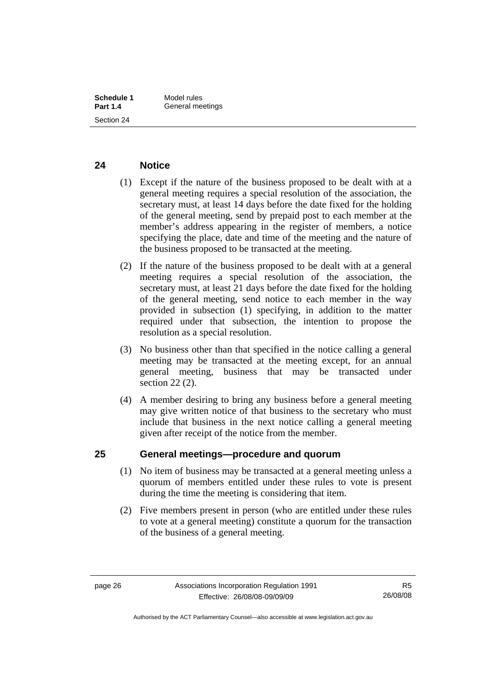#### <span id="page-31-0"></span>**24 Notice**

- (1) Except if the nature of the business proposed to be dealt with at a general meeting requires a special resolution of the association, the secretary must, at least 14 days before the date fixed for the holding of the general meeting, send by prepaid post to each member at the member's address appearing in the register of members, a notice specifying the place, date and time of the meeting and the nature of the business proposed to be transacted at the meeting.
- (2) If the nature of the business proposed to be dealt with at a general meeting requires a special resolution of the association, the secretary must, at least 21 days before the date fixed for the holding of the general meeting, send notice to each member in the way provided in subsection (1) specifying, in addition to the matter required under that subsection, the intention to propose the resolution as a special resolution.
- (3) No business other than that specified in the notice calling a general meeting may be transacted at the meeting except, for an annual general meeting, business that may be transacted under section 22 (2).
- (4) A member desiring to bring any business before a general meeting may give written notice of that business to the secretary who must include that business in the next notice calling a general meeting given after receipt of the notice from the member.

### **25 General meetings—procedure and quorum**

- (1) No item of business may be transacted at a general meeting unless a quorum of members entitled under these rules to vote is present during the time the meeting is considering that item.
- (2) Five members present in person (who are entitled under these rules to vote at a general meeting) constitute a quorum for the transaction of the business of a general meeting.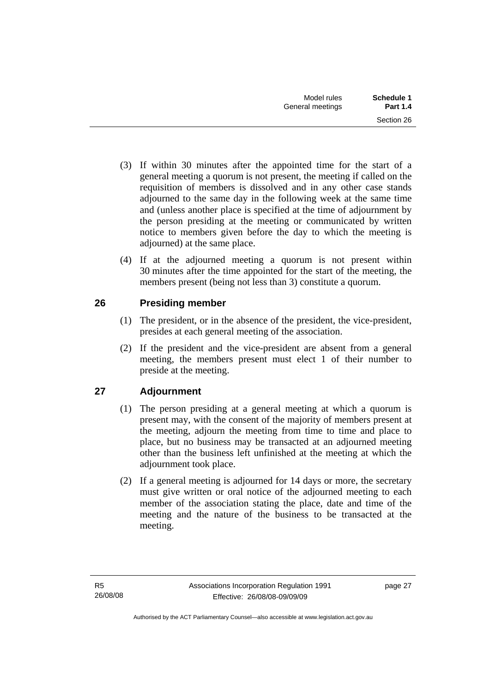- <span id="page-32-0"></span> (3) If within 30 minutes after the appointed time for the start of a general meeting a quorum is not present, the meeting if called on the requisition of members is dissolved and in any other case stands adjourned to the same day in the following week at the same time and (unless another place is specified at the time of adjournment by the person presiding at the meeting or communicated by written notice to members given before the day to which the meeting is adjourned) at the same place.
- (4) If at the adjourned meeting a quorum is not present within 30 minutes after the time appointed for the start of the meeting, the members present (being not less than 3) constitute a quorum.

### **26 Presiding member**

- (1) The president, or in the absence of the president, the vice-president, presides at each general meeting of the association.
- (2) If the president and the vice-president are absent from a general meeting, the members present must elect 1 of their number to preside at the meeting.

# **27 Adjournment**

- (1) The person presiding at a general meeting at which a quorum is present may, with the consent of the majority of members present at the meeting, adjourn the meeting from time to time and place to place, but no business may be transacted at an adjourned meeting other than the business left unfinished at the meeting at which the adjournment took place.
- (2) If a general meeting is adjourned for 14 days or more, the secretary must give written or oral notice of the adjourned meeting to each member of the association stating the place, date and time of the meeting and the nature of the business to be transacted at the meeting.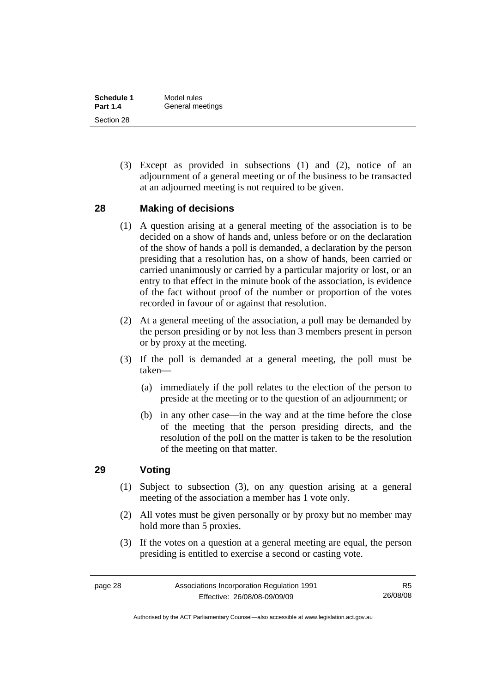<span id="page-33-0"></span>

| Schedule 1      | Model rules      |
|-----------------|------------------|
| <b>Part 1.4</b> | General meetings |
| Section 28      |                  |

 (3) Except as provided in subsections (1) and (2), notice of an adjournment of a general meeting or of the business to be transacted at an adjourned meeting is not required to be given.

#### **28 Making of decisions**

- (1) A question arising at a general meeting of the association is to be decided on a show of hands and, unless before or on the declaration of the show of hands a poll is demanded, a declaration by the person presiding that a resolution has, on a show of hands, been carried or carried unanimously or carried by a particular majority or lost, or an entry to that effect in the minute book of the association, is evidence of the fact without proof of the number or proportion of the votes recorded in favour of or against that resolution.
- (2) At a general meeting of the association, a poll may be demanded by the person presiding or by not less than 3 members present in person or by proxy at the meeting.
- (3) If the poll is demanded at a general meeting, the poll must be taken—
	- (a) immediately if the poll relates to the election of the person to preside at the meeting or to the question of an adjournment; or
	- (b) in any other case—in the way and at the time before the close of the meeting that the person presiding directs, and the resolution of the poll on the matter is taken to be the resolution of the meeting on that matter.

#### **29 Voting**

- (1) Subject to subsection (3), on any question arising at a general meeting of the association a member has 1 vote only.
- (2) All votes must be given personally or by proxy but no member may hold more than 5 proxies.
- (3) If the votes on a question at a general meeting are equal, the person presiding is entitled to exercise a second or casting vote.

Authorised by the ACT Parliamentary Counsel—also accessible at www.legislation.act.gov.au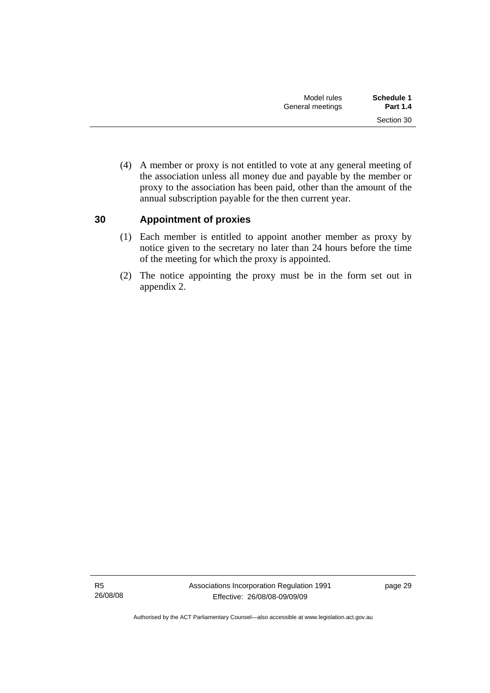<span id="page-34-0"></span> (4) A member or proxy is not entitled to vote at any general meeting of the association unless all money due and payable by the member or proxy to the association has been paid, other than the amount of the annual subscription payable for the then current year.

### **30 Appointment of proxies**

- (1) Each member is entitled to appoint another member as proxy by notice given to the secretary no later than 24 hours before the time of the meeting for which the proxy is appointed.
- (2) The notice appointing the proxy must be in the form set out in appendix 2.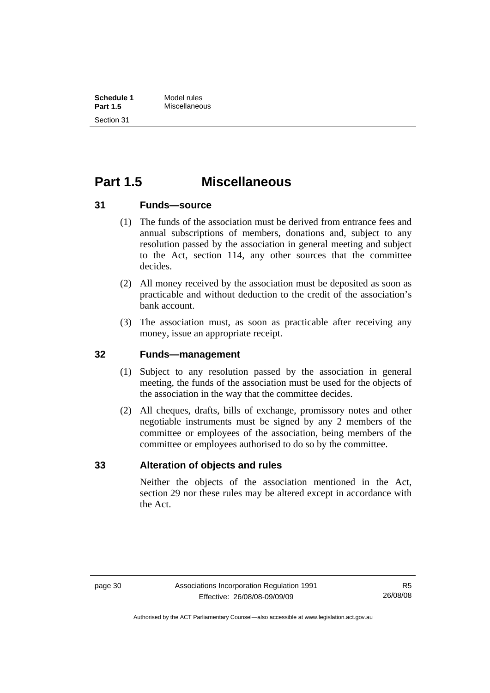# <span id="page-35-0"></span>**Part 1.5 Miscellaneous**

#### **31 Funds—source**

- (1) The funds of the association must be derived from entrance fees and annual subscriptions of members, donations and, subject to any resolution passed by the association in general meeting and subject to the Act, section 114, any other sources that the committee decides.
- (2) All money received by the association must be deposited as soon as practicable and without deduction to the credit of the association's bank account.
- (3) The association must, as soon as practicable after receiving any money, issue an appropriate receipt.

#### **32 Funds—management**

- (1) Subject to any resolution passed by the association in general meeting, the funds of the association must be used for the objects of the association in the way that the committee decides.
- (2) All cheques, drafts, bills of exchange, promissory notes and other negotiable instruments must be signed by any 2 members of the committee or employees of the association, being members of the committee or employees authorised to do so by the committee.

#### **33 Alteration of objects and rules**

Neither the objects of the association mentioned in the Act, section 29 nor these rules may be altered except in accordance with the Act.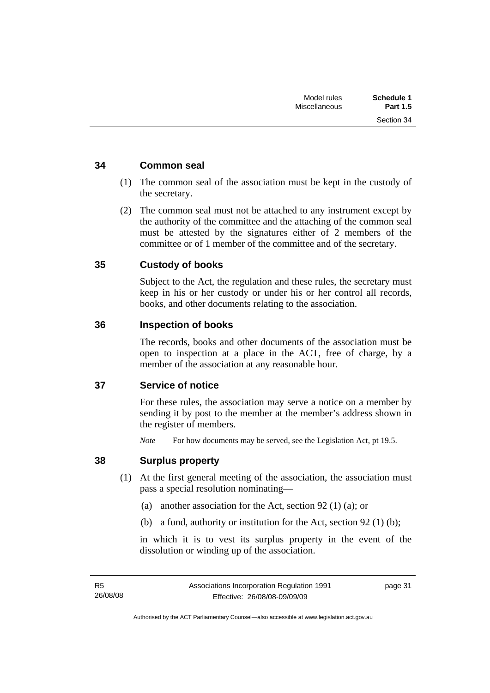Section 34

#### <span id="page-36-0"></span>**34 Common seal**

- (1) The common seal of the association must be kept in the custody of the secretary.
- (2) The common seal must not be attached to any instrument except by the authority of the committee and the attaching of the common seal must be attested by the signatures either of 2 members of the committee or of 1 member of the committee and of the secretary.

#### **35 Custody of books**

Subject to the Act, the regulation and these rules, the secretary must keep in his or her custody or under his or her control all records, books, and other documents relating to the association.

#### **36 Inspection of books**

The records, books and other documents of the association must be open to inspection at a place in the ACT, free of charge, by a member of the association at any reasonable hour.

### **37 Service of notice**

For these rules, the association may serve a notice on a member by sending it by post to the member at the member's address shown in the register of members.

*Note* For how documents may be served, see the Legislation Act, pt 19.5.

#### **38 Surplus property**

- (1) At the first general meeting of the association, the association must pass a special resolution nominating—
	- (a) another association for the Act, section 92 (1) (a); or
	- (b) a fund, authority or institution for the Act, section 92 (1) (b);

in which it is to vest its surplus property in the event of the dissolution or winding up of the association.

page 31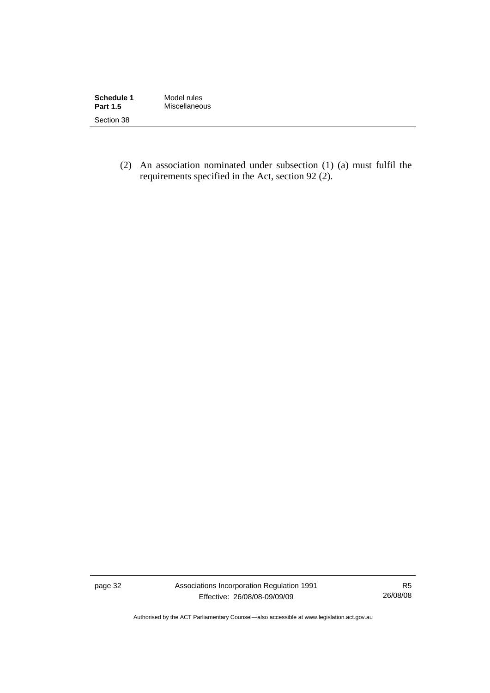| Schedule 1<br><b>Part 1.5</b> | Model rules<br>Miscellaneous |  |
|-------------------------------|------------------------------|--|
| Section 38                    |                              |  |

 (2) An association nominated under subsection (1) (a) must fulfil the requirements specified in the Act, section 92 (2).

page 32 Associations Incorporation Regulation 1991 Effective: 26/08/08-09/09/09

R5 26/08/08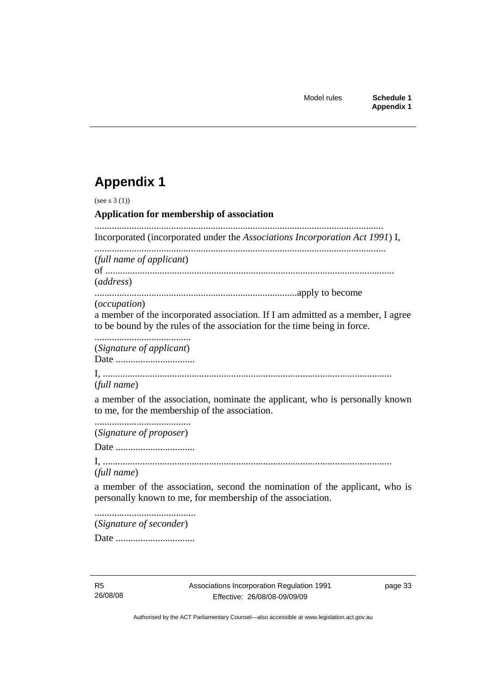# **Appendix 1**

| (see s $3(1)$ )                                                                                                                                             |
|-------------------------------------------------------------------------------------------------------------------------------------------------------------|
| Application for membership of association                                                                                                                   |
| Incorporated (incorporated under the Associations Incorporation Act 1991) I,                                                                                |
| (full name of applicant)                                                                                                                                    |
| (address)                                                                                                                                                   |
| ( <i>occupation</i> )                                                                                                                                       |
| a member of the incorporated association. If I am admitted as a member, I agree<br>to be bound by the rules of the association for the time being in force. |
| (Signature of applicant)                                                                                                                                    |
|                                                                                                                                                             |
| (full name)                                                                                                                                                 |
| a member of the association, nominate the applicant, who is personally known<br>to me, for the membership of the association.                               |
| (Signature of proposer)                                                                                                                                     |
|                                                                                                                                                             |
| (full name)                                                                                                                                                 |
| a member of the association, second the nomination of the applicant, who is<br>personally known to me, for membership of the association.                   |
| (Signature of seconder)                                                                                                                                     |
|                                                                                                                                                             |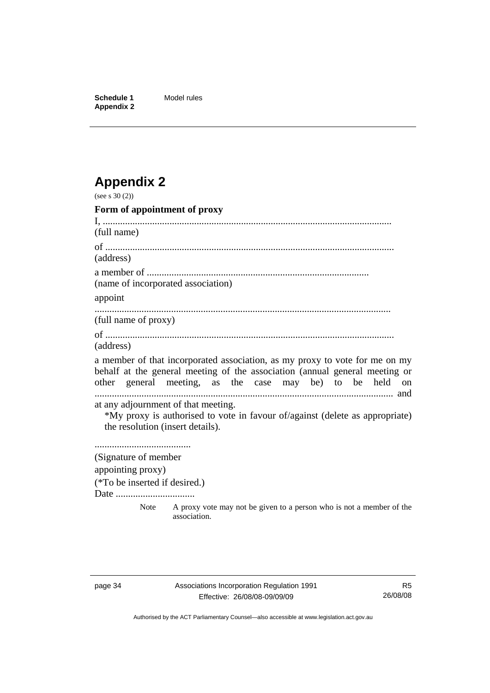**Schedule 1** Model rules **Appendix 2** 

# **Appendix 2**

| (see s $30(2)$ )                                                        |                                                                                                                                                                                                                           |
|-------------------------------------------------------------------------|---------------------------------------------------------------------------------------------------------------------------------------------------------------------------------------------------------------------------|
| Form of appointment of proxy                                            |                                                                                                                                                                                                                           |
| (full name)                                                             |                                                                                                                                                                                                                           |
|                                                                         |                                                                                                                                                                                                                           |
| (address)                                                               |                                                                                                                                                                                                                           |
| (name of incorporated association)                                      |                                                                                                                                                                                                                           |
| appoint                                                                 |                                                                                                                                                                                                                           |
| (full name of proxy)                                                    |                                                                                                                                                                                                                           |
|                                                                         |                                                                                                                                                                                                                           |
| (address)                                                               |                                                                                                                                                                                                                           |
|                                                                         | a member of that incorporated association, as my proxy to vote for me on my<br>behalf at the general meeting of the association (annual general meeting or<br>other general meeting, as the case may be) to be held<br>on |
| at any adjournment of that meeting.<br>the resolution (insert details). | *My proxy is authorised to vote in favour of/against (delete as appropriate)                                                                                                                                              |
| (Signature of member                                                    |                                                                                                                                                                                                                           |
| appointing proxy)                                                       |                                                                                                                                                                                                                           |
| (*To be inserted if desired.)<br>Date                                   |                                                                                                                                                                                                                           |
| Note                                                                    | A proxy vote may not be given to a person who is not a member of the<br>association.                                                                                                                                      |

Authorised by the ACT Parliamentary Counsel—also accessible at www.legislation.act.gov.au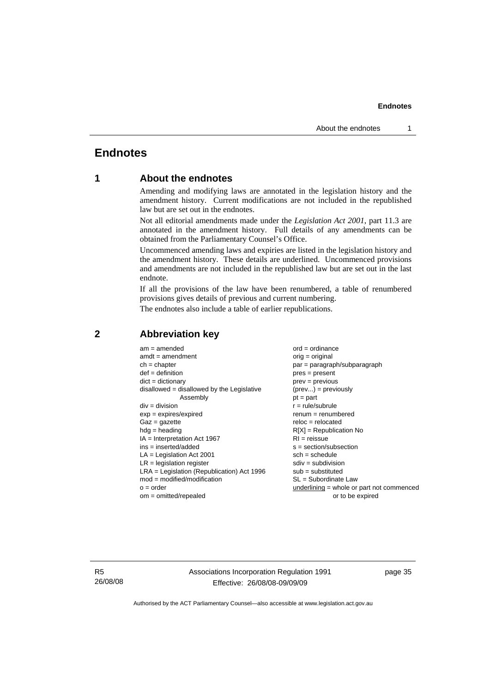### <span id="page-40-0"></span>**Endnotes**

#### **1 About the endnotes**

Amending and modifying laws are annotated in the legislation history and the amendment history. Current modifications are not included in the republished law but are set out in the endnotes.

Not all editorial amendments made under the *Legislation Act 2001*, part 11.3 are annotated in the amendment history. Full details of any amendments can be obtained from the Parliamentary Counsel's Office.

Uncommenced amending laws and expiries are listed in the legislation history and the amendment history. These details are underlined. Uncommenced provisions and amendments are not included in the republished law but are set out in the last endnote.

If all the provisions of the law have been renumbered, a table of renumbered provisions gives details of previous and current numbering.

The endnotes also include a table of earlier republications.

| $LRA =$ Legislation (Republication) Act 1996<br>$sub = substituted$<br>$mod = modified/modification$<br>SL = Subordinate Law<br>underlining = whole or part not commenced<br>$o = order$ |
|------------------------------------------------------------------------------------------------------------------------------------------------------------------------------------------|
| $om = omitted/repealed$<br>or to be expired                                                                                                                                              |

#### **2 Abbreviation key**

R5 26/08/08 Associations Incorporation Regulation 1991 Effective: 26/08/08-09/09/09

page 35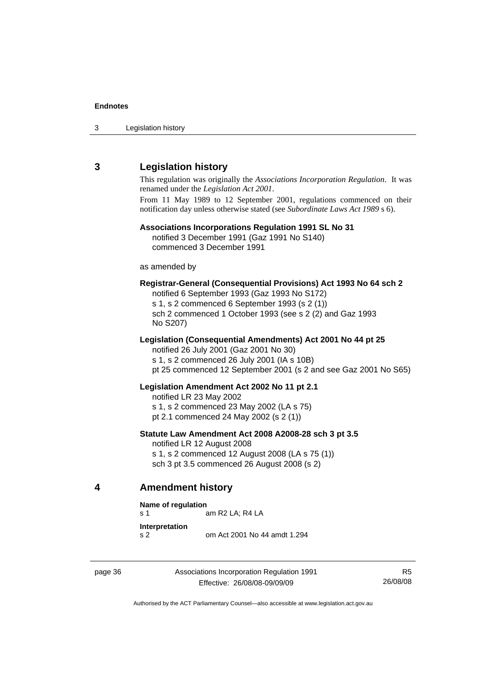<span id="page-41-0"></span>

| 3 | Legislation history |  |
|---|---------------------|--|
|---|---------------------|--|

#### **3 Legislation history**

This regulation was originally the *Associations Incorporation Regulation*. It was renamed under the *Legislation Act 2001*.

From 11 May 1989 to 12 September 2001, regulations commenced on their notification day unless otherwise stated (see *Subordinate Laws Act 1989* s 6).

#### **Associations Incorporations Regulation 1991 SL No 31**

notified 3 December 1991 (Gaz 1991 No S140) commenced 3 December 1991

as amended by

#### **Registrar-General (Consequential Provisions) Act 1993 No 64 sch 2**

notified 6 September 1993 (Gaz 1993 No S172) s 1, s 2 commenced 6 September 1993 (s 2 (1)) sch 2 commenced 1 October 1993 (see s 2 (2) and Gaz 1993 No S207)

#### **Legislation (Consequential Amendments) Act 2001 No 44 pt 25**

notified 26 July 2001 (Gaz 2001 No 30) s 1, s 2 commenced 26 July 2001 (IA s 10B) pt 25 commenced 12 September 2001 (s 2 and see Gaz 2001 No S65)

#### **Legislation Amendment Act 2002 No 11 pt 2.1**

notified LR 23 May 2002 s 1, s 2 commenced 23 May 2002 (LA s 75) pt 2.1 commenced 24 May 2002 (s 2 (1))

#### **Statute Law Amendment Act 2008 A2008-28 sch 3 pt 3.5**

notified LR 12 August 2008 s 1, s 2 commenced 12 August 2008 (LA s 75 (1)) sch 3 pt 3.5 commenced 26 August 2008 (s 2)

**4 Amendment history** 

#### **Name of regulation**

s 1 am R2 LA; R4 LA

- **Interpretation**
- s 2 om Act 2001 No 44 amdt 1.294

page 36 Associations Incorporation Regulation 1991 Effective: 26/08/08-09/09/09

R5 26/08/08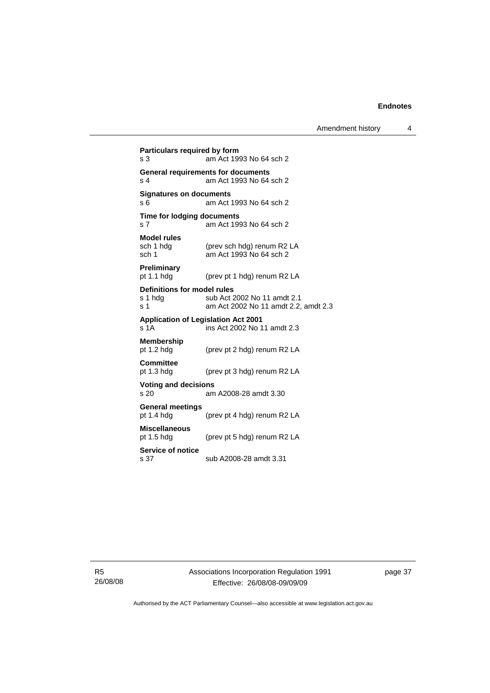| Particulars required by form<br>s <sub>3</sub>           | am Act 1993 No 64 sch 2                                              |
|----------------------------------------------------------|----------------------------------------------------------------------|
| s 4                                                      | <b>General requirements for documents</b><br>am Act 1993 No 64 sch 2 |
| <b>Signatures on documents</b><br>s 6                    | am Act 1993 No 64 sch 2                                              |
| Time for lodging documents<br>s 7                        | am Act 1993 No 64 sch 2                                              |
| <b>Model rules</b><br>sch 1 hdg<br>sch <sub>1</sub>      | (prev sch hdg) renum R2 LA<br>am Act 1993 No 64 sch 2                |
| Preliminary<br>pt $1.1$ hdg                              | (prev pt 1 hdg) renum R2 LA                                          |
| Definitions for model rules<br>s 1 hda<br>s <sub>1</sub> | sub Act 2002 No 11 amdt 2.1<br>am Act 2002 No 11 amdt 2.2, amdt 2.3  |
| <b>Application of Legislation Act 2001</b><br>s 1A       | ins Act 2002 No 11 amdt 2.3                                          |
| <b>Membership</b><br>pt $1.2$ hdg                        | (prev pt 2 hdg) renum R2 LA                                          |
| <b>Committee</b><br>pt 1.3 hdg                           | (prev pt 3 hdg) renum R2 LA                                          |
| <b>Voting and decisions</b><br>s 20                      | am A2008-28 amdt 3.30                                                |
| <b>General meetings</b><br>pt $1.4$ hdg                  | (prev pt 4 hdg) renum R2 LA                                          |
| <b>Miscellaneous</b><br>pt $1.5$ hdg                     | (prev pt 5 hdg) renum R2 LA                                          |
| Service of notice<br>s 37                                | sub A2008-28 amdt 3.31                                               |

R5 26/08/08 Associations Incorporation Regulation 1991 Effective: 26/08/08-09/09/09

page 37